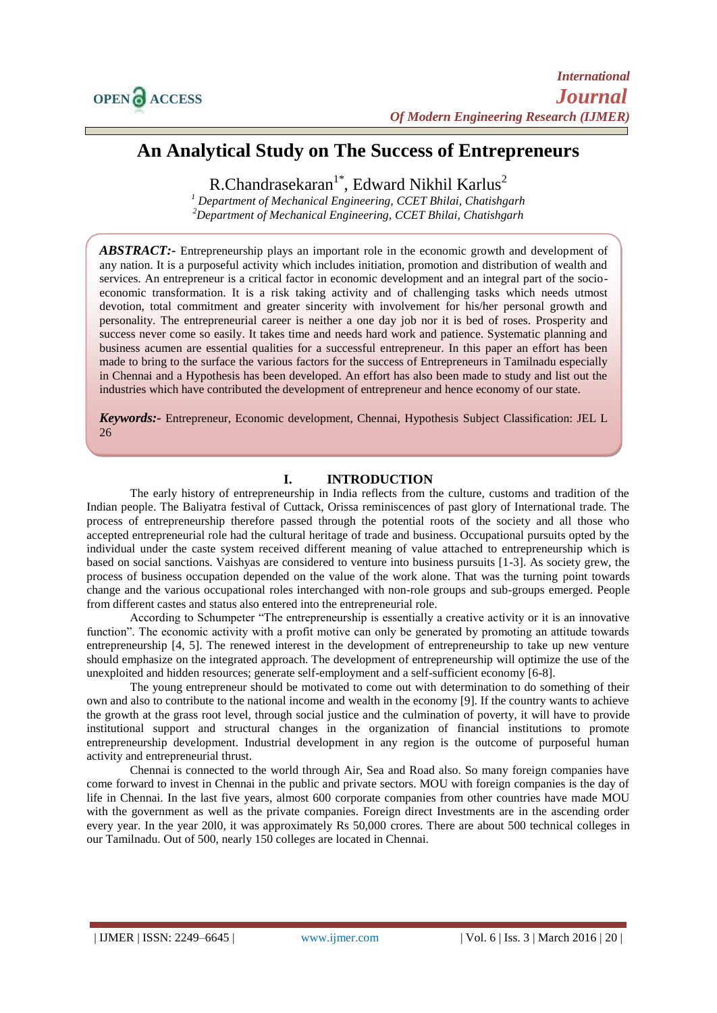# **An Analytical Study on The Success of Entrepreneurs**

R.Chandrasekaran<sup>1\*</sup>, Edward Nikhil Karlus<sup>2</sup>

*<sup>1</sup> Department of Mechanical Engineering, CCET Bhilai, Chatishgarh <sup>2</sup>Department of Mechanical Engineering, CCET Bhilai, Chatishgarh*

*ABSTRACT:-* Entrepreneurship plays an important role in the economic growth and development of any nation. It is a purposeful activity which includes initiation, promotion and distribution of wealth and services. An entrepreneur is a critical factor in economic development and an integral part of the socioeconomic transformation. It is a risk taking activity and of challenging tasks which needs utmost devotion, total commitment and greater sincerity with involvement for his/her personal growth and personality. The entrepreneurial career is neither a one day job nor it is bed of roses. Prosperity and success never come so easily. It takes time and needs hard work and patience. Systematic planning and business acumen are essential qualities for a successful entrepreneur. In this paper an effort has been made to bring to the surface the various factors for the success of Entrepreneurs in Tamilnadu especially in Chennai and a Hypothesis has been developed. An effort has also been made to study and list out the industries which have contributed the development of entrepreneur and hence economy of our state.

*Keywords:-* Entrepreneur, Economic development, Chennai, Hypothesis Subject Classification: JEL L 26

## **I. INTRODUCTION**

The early history of entrepreneurship in India reflects from the culture, customs and tradition of the Indian people. The Baliyatra festival of Cuttack, Orissa reminiscences of past glory of International trade. The process of entrepreneurship therefore passed through the potential roots of the society and all those who accepted entrepreneurial role had the cultural heritage of trade and business. Occupational pursuits opted by the individual under the caste system received different meaning of value attached to entrepreneurship which is based on social sanctions. Vaishyas are considered to venture into business pursuits [1-3]. As society grew, the process of business occupation depended on the value of the work alone. That was the turning point towards change and the various occupational roles interchanged with non-role groups and sub-groups emerged. People from different castes and status also entered into the entrepreneurial role.

According to Schumpeter "The entrepreneurship is essentially a creative activity or it is an innovative function". The economic activity with a profit motive can only be generated by promoting an attitude towards entrepreneurship [4, 5]. The renewed interest in the development of entrepreneurship to take up new venture should emphasize on the integrated approach. The development of entrepreneurship will optimize the use of the unexploited and hidden resources; generate self-employment and a self-sufficient economy [6-8].

The young entrepreneur should be motivated to come out with determination to do something of their own and also to contribute to the national income and wealth in the economy [9]. If the country wants to achieve the growth at the grass root level, through social justice and the culmination of poverty, it will have to provide institutional support and structural changes in the organization of financial institutions to promote entrepreneurship development. Industrial development in any region is the outcome of purposeful human activity and entrepreneurial thrust.

Chennai is connected to the world through Air, Sea and Road also. So many foreign companies have come forward to invest in Chennai in the public and private sectors. MOU with foreign companies is the day of life in Chennai. In the last five years, almost 600 corporate companies from other countries have made MOU with the government as well as the private companies. Foreign direct Investments are in the ascending order every year. In the year 20l0, it was approximately Rs 50,000 crores. There are about 500 technical colleges in our Tamilnadu. Out of 500, nearly 150 colleges are located in Chennai.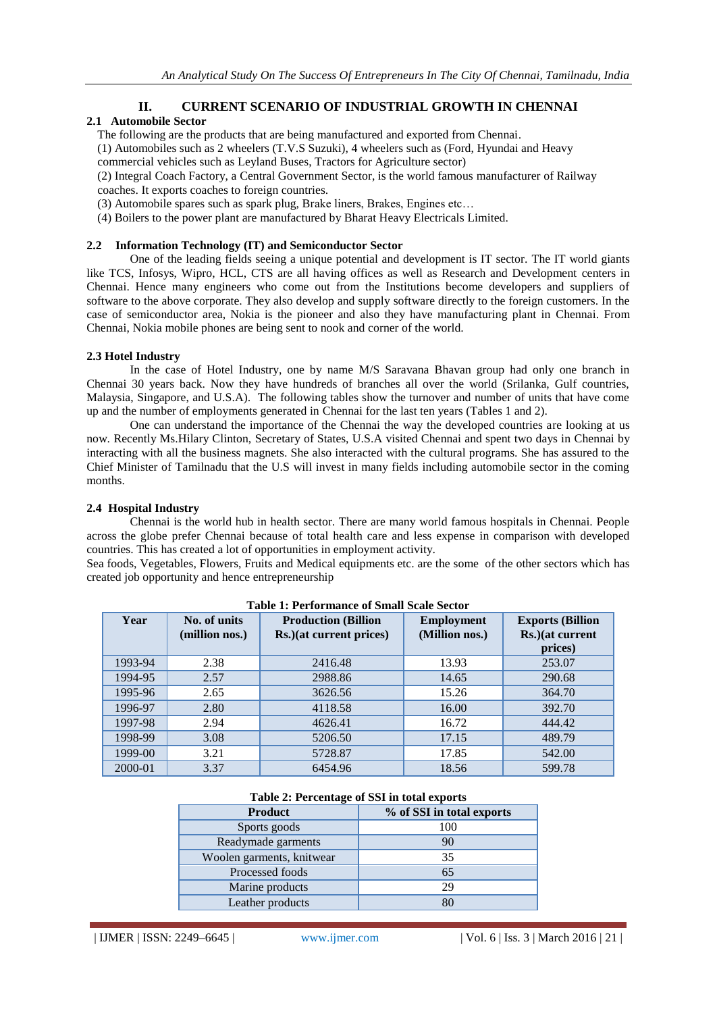# **II. CURRENT SCENARIO OF INDUSTRIAL GROWTH IN CHENNAI**

## **2.1 Automobile Sector**

The following are the products that are being manufactured and exported from Chennai.

(1) Automobiles such as 2 wheelers (T.V.S Suzuki), 4 wheelers such as (Ford, Hyundai and Heavy

commercial vehicles such as Leyland Buses, Tractors for Agriculture sector)

(2) Integral Coach Factory, a Central Government Sector, is the world famous manufacturer of Railway

- coaches. It exports coaches to foreign countries.
- (3) Automobile spares such as spark plug, Brake liners, Brakes, Engines etc…
- (4) Boilers to the power plant are manufactured by Bharat Heavy Electricals Limited.

# **2.2 Information Technology (IT) and Semiconductor Sector**

One of the leading fields seeing a unique potential and development is IT sector. The IT world giants like TCS, Infosys, Wipro, HCL, CTS are all having offices as well as Research and Development centers in Chennai. Hence many engineers who come out from the Institutions become developers and suppliers of software to the above corporate. They also develop and supply software directly to the foreign customers. In the case of semiconductor area, Nokia is the pioneer and also they have manufacturing plant in Chennai. From Chennai, Nokia mobile phones are being sent to nook and corner of the world.

## **2.3 Hotel Industry**

In the case of Hotel Industry, one by name M/S Saravana Bhavan group had only one branch in Chennai 30 years back. Now they have hundreds of branches all over the world (Srilanka, Gulf countries, Malaysia, Singapore, and U.S.A). The following tables show the turnover and number of units that have come up and the number of employments generated in Chennai for the last ten years (Tables 1 and 2).

One can understand the importance of the Chennai the way the developed countries are looking at us now. Recently Ms.Hilary Clinton, Secretary of States, U.S.A visited Chennai and spent two days in Chennai by interacting with all the business magnets. She also interacted with the cultural programs. She has assured to the Chief Minister of Tamilnadu that the U.S will invest in many fields including automobile sector in the coming months.

# **2.4 Hospital Industry**

Chennai is the world hub in health sector. There are many world famous hospitals in Chennai. People across the globe prefer Chennai because of total health care and less expense in comparison with developed countries. This has created a lot of opportunities in employment activity.

Sea foods, Vegetables, Flowers, Fruits and Medical equipments etc. are the some of the other sectors which has created job opportunity and hence entrepreneurship

|         | Table 1. I choninalité of binan scale sector |                                                         |                                     |                                                        |  |  |  |  |
|---------|----------------------------------------------|---------------------------------------------------------|-------------------------------------|--------------------------------------------------------|--|--|--|--|
| Year    | No. of units<br>(million nos.)               | <b>Production (Billion)</b><br>Rs.) (at current prices) | <b>Employment</b><br>(Million nos.) | <b>Exports (Billion</b><br>Rs.) (at current<br>prices) |  |  |  |  |
| 1993-94 | 2.38                                         | 2416.48                                                 | 13.93                               | 253.07                                                 |  |  |  |  |
| 1994-95 | 2.57                                         | 2988.86                                                 | 14.65                               | 290.68                                                 |  |  |  |  |
| 1995-96 | 2.65                                         | 3626.56                                                 | 15.26                               | 364.70                                                 |  |  |  |  |
| 1996-97 | 2.80                                         | 4118.58                                                 | 16.00                               | 392.70                                                 |  |  |  |  |
| 1997-98 | 2.94                                         | 4626.41                                                 | 16.72                               | 444.42                                                 |  |  |  |  |
| 1998-99 | 3.08                                         | 5206.50                                                 | 17.15                               | 489.79                                                 |  |  |  |  |
| 1999-00 | 3.21                                         | 5728.87                                                 | 17.85                               | 542.00                                                 |  |  |  |  |
| 2000-01 | 3.37                                         | 6454.96                                                 | 18.56                               | 599.78                                                 |  |  |  |  |

#### **Table 1: Performance of Small Scale Sector**

## **Table 2: Percentage of SSI in total exports**

| <b>Product</b>            | % of SSI in total exports |
|---------------------------|---------------------------|
| Sports goods              | 100                       |
| Readymade garments        | 90                        |
| Woolen garments, knitwear | 35                        |
| Processed foods           | 65                        |
| Marine products           | 29                        |
| Leather products          | 80                        |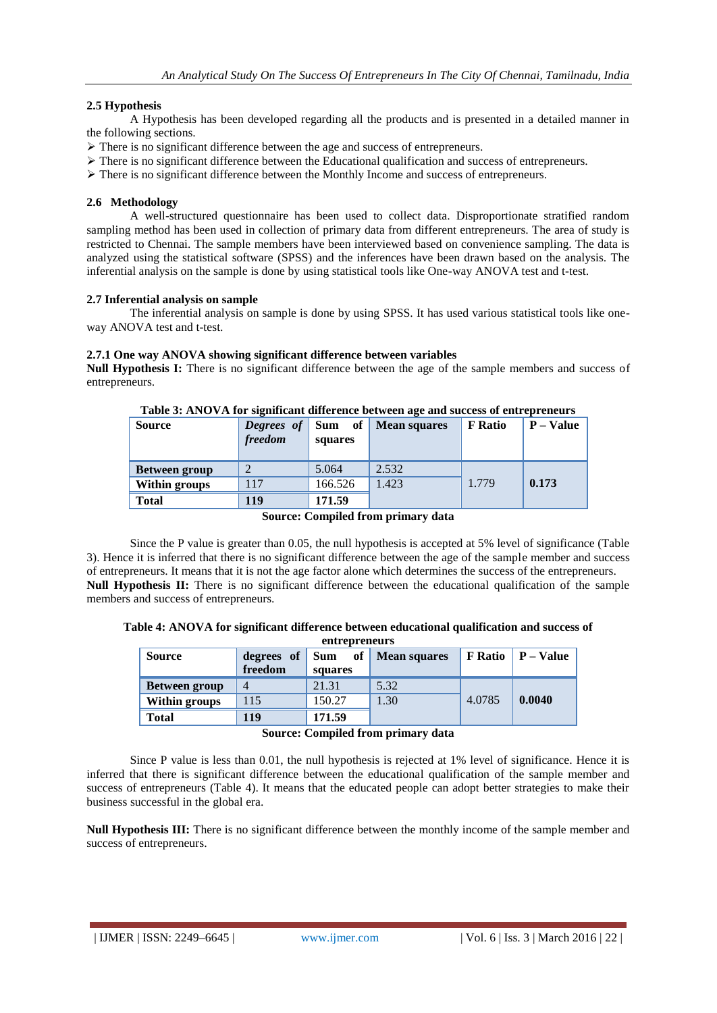## **2.5 Hypothesis**

A Hypothesis has been developed regarding all the products and is presented in a detailed manner in the following sections.

- There is no significant difference between the age and success of entrepreneurs.
- $\triangleright$  There is no significant difference between the Educational qualification and success of entrepreneurs.
- $\triangleright$  There is no significant difference between the Monthly Income and success of entrepreneurs.

#### **2.6 Methodology**

A well-structured questionnaire has been used to collect data. Disproportionate stratified random sampling method has been used in collection of primary data from different entrepreneurs. The area of study is restricted to Chennai. The sample members have been interviewed based on convenience sampling. The data is analyzed using the statistical software (SPSS) and the inferences have been drawn based on the analysis. The inferential analysis on the sample is done by using statistical tools like One-way ANOVA test and t-test.

#### **2.7 Inferential analysis on sample**

The inferential analysis on sample is done by using SPSS. It has used various statistical tools like oneway ANOVA test and t-test.

#### **2.7.1 One way ANOVA showing significant difference between variables**

**Null Hypothesis I:** There is no significant difference between the age of the sample members and success of entrepreneurs.

| <b>Source</b>        | Degrees of<br>freedom | of<br><b>Sum</b><br>squares | <b>Mean squares</b> | <b>F</b> Ratio | $P - Value$ |
|----------------------|-----------------------|-----------------------------|---------------------|----------------|-------------|
| <b>Between group</b> | $\bigcirc$            | 5.064                       | 2.532               |                |             |
| Within groups        | 117                   | 166.526                     | 1.423               | 1.779          | 0.173       |
| <b>Total</b>         | 119                   | 171.59                      |                     |                |             |

**Table 3: ANOVA for significant difference between age and success of entrepreneurs**

#### **Source: Compiled from primary data**

Since the P value is greater than 0.05, the null hypothesis is accepted at 5% level of significance (Table 3). Hence it is inferred that there is no significant difference between the age of the sample member and success of entrepreneurs. It means that it is not the age factor alone which determines the success of the entrepreneurs. **Null Hypothesis II:** There is no significant difference between the educational qualification of the sample members and success of entrepreneurs.

**Table 4: ANOVA for significant difference between educational qualification and success of** 

| entrepreneurs        |                                                                                                  |         |      |        |        |  |
|----------------------|--------------------------------------------------------------------------------------------------|---------|------|--------|--------|--|
| <b>Source</b>        | <b>F</b> Ratio $\vert$ <b>P</b> – Value<br>of<br><b>Mean squares</b><br>degrees of<br><b>Sum</b> |         |      |        |        |  |
|                      | freedom                                                                                          | squares |      |        |        |  |
| <b>Between group</b> | 4                                                                                                | 21.31   | 5.32 |        |        |  |
| Within groups        | 115                                                                                              | 150.27  | 1.30 | 4.0785 | 0.0040 |  |
| <b>Total</b>         | 119                                                                                              | 171.59  |      |        |        |  |

**Source: Compiled from primary data**

Since P value is less than 0.01, the null hypothesis is rejected at 1% level of significance. Hence it is inferred that there is significant difference between the educational qualification of the sample member and success of entrepreneurs (Table 4). It means that the educated people can adopt better strategies to make their business successful in the global era.

**Null Hypothesis III:** There is no significant difference between the monthly income of the sample member and success of entrepreneurs.